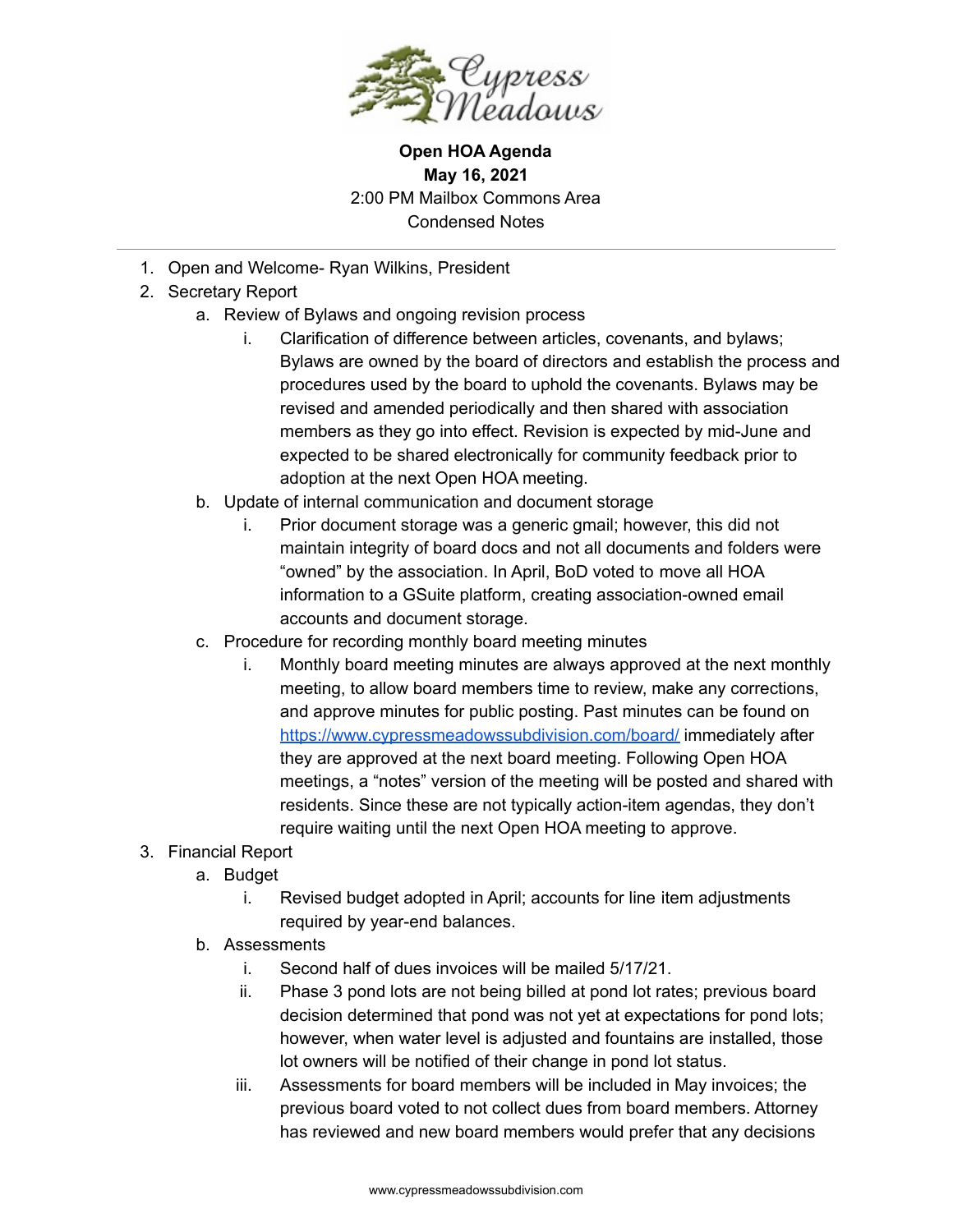

**Open HOA Agenda May 16, 2021** 2:00 PM Mailbox Commons Area Condensed Notes

- 1. Open and Welcome- Ryan Wilkins, President
- 2. Secretary Report
	- a. Review of Bylaws and ongoing revision process
		- i. Clarification of difference between articles, covenants, and bylaws; Bylaws are owned by the board of directors and establish the process and procedures used by the board to uphold the covenants. Bylaws may be revised and amended periodically and then shared with association members as they go into effect. Revision is expected by mid-June and expected to be shared electronically for community feedback prior to adoption at the next Open HOA meeting.
	- b. Update of internal communication and document storage
		- i. Prior document storage was a generic gmail; however, this did not maintain integrity of board docs and not all documents and folders were "owned" by the association. In April, BoD voted to move all HOA information to a GSuite platform, creating association-owned email accounts and document storage.
	- c. Procedure for recording monthly board meeting minutes
		- i. Monthly board meeting minutes are always approved at the next monthly meeting, to allow board members time to review, make any corrections, and approve minutes for public posting. Past minutes can be found on <https://www.cypressmeadowssubdivision.com/board/> immediately after they are approved at the next board meeting. Following Open HOA meetings, a "notes" version of the meeting will be posted and shared with residents. Since these are not typically action-item agendas, they don't require waiting until the next Open HOA meeting to approve.
- 3. Financial Report
	- a. Budget
		- i. Revised budget adopted in April; accounts for line item adjustments required by year-end balances.
	- b. Assessments
		- i. Second half of dues invoices will be mailed 5/17/21.
		- ii. Phase 3 pond lots are not being billed at pond lot rates; previous board decision determined that pond was not yet at expectations for pond lots; however, when water level is adjusted and fountains are installed, those lot owners will be notified of their change in pond lot status.
		- iii. Assessments for board members will be included in May invoices; the previous board voted to not collect dues from board members. Attorney has reviewed and new board members would prefer that any decisions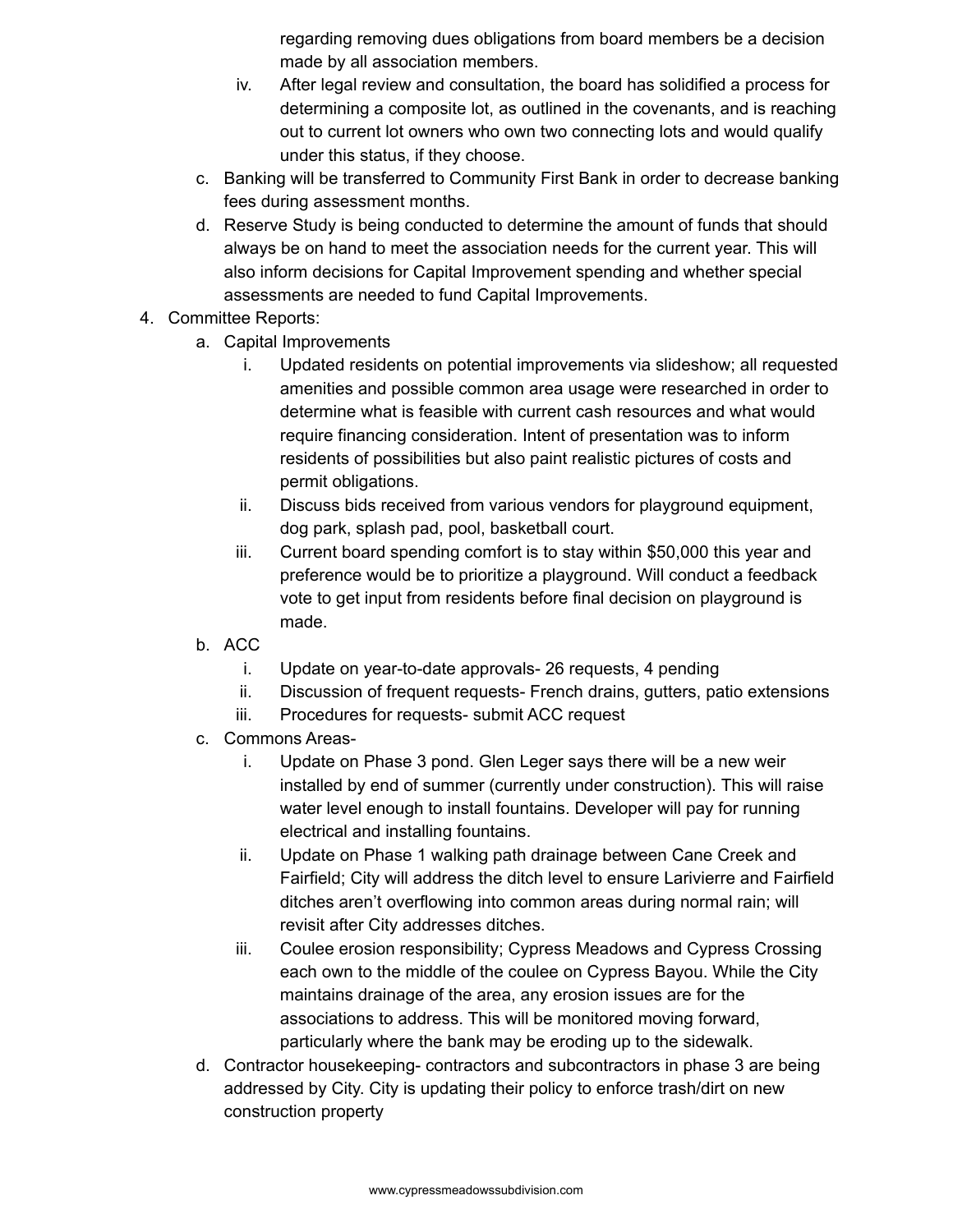regarding removing dues obligations from board members be a decision made by all association members.

- iv. After legal review and consultation, the board has solidified a process for determining a composite lot, as outlined in the covenants, and is reaching out to current lot owners who own two connecting lots and would qualify under this status, if they choose.
- c. Banking will be transferred to Community First Bank in order to decrease banking fees during assessment months.
- d. Reserve Study is being conducted to determine the amount of funds that should always be on hand to meet the association needs for the current year. This will also inform decisions for Capital Improvement spending and whether special assessments are needed to fund Capital Improvements.
- 4. Committee Reports:
	- a. Capital Improvements
		- i. Updated residents on potential improvements via slideshow; all requested amenities and possible common area usage were researched in order to determine what is feasible with current cash resources and what would require financing consideration. Intent of presentation was to inform residents of possibilities but also paint realistic pictures of costs and permit obligations.
		- ii. Discuss bids received from various vendors for playground equipment, dog park, splash pad, pool, basketball court.
		- iii. Current board spending comfort is to stay within \$50,000 this year and preference would be to prioritize a playground. Will conduct a feedback vote to get input from residents before final decision on playground is made.
	- b. ACC
		- i. Update on year-to-date approvals- 26 requests, 4 pending
		- ii. Discussion of frequent requests- French drains, gutters, patio extensions
		- iii. Procedures for requests- submit ACC request
	- c. Commons Areas
		- i. Update on Phase 3 pond. Glen Leger says there will be a new weir installed by end of summer (currently under construction). This will raise water level enough to install fountains. Developer will pay for running electrical and installing fountains.
		- ii. Update on Phase 1 walking path drainage between Cane Creek and Fairfield; City will address the ditch level to ensure Larivierre and Fairfield ditches aren't overflowing into common areas during normal rain; will revisit after City addresses ditches.
		- iii. Coulee erosion responsibility; Cypress Meadows and Cypress Crossing each own to the middle of the coulee on Cypress Bayou. While the City maintains drainage of the area, any erosion issues are for the associations to address. This will be monitored moving forward, particularly where the bank may be eroding up to the sidewalk.
	- d. Contractor housekeeping- contractors and subcontractors in phase 3 are being addressed by City. City is updating their policy to enforce trash/dirt on new construction property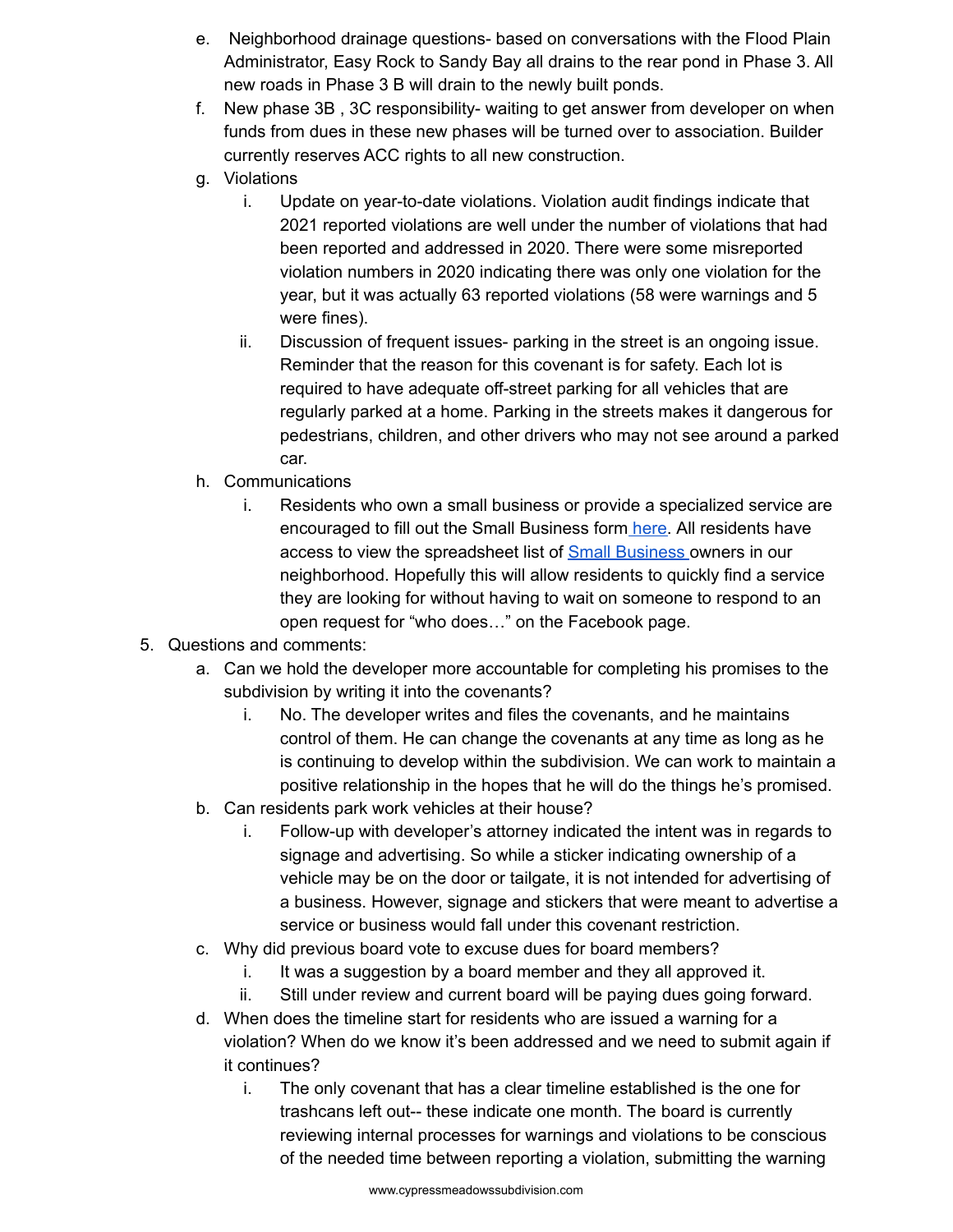- e. Neighborhood drainage questions- based on conversations with the Flood Plain Administrator, Easy Rock to Sandy Bay all drains to the rear pond in Phase 3. All new roads in Phase 3 B will drain to the newly built ponds.
- f. New phase 3B , 3C responsibility- waiting to get answer from developer on when funds from dues in these new phases will be turned over to association. Builder currently reserves ACC rights to all new construction.
- g. Violations
	- i. Update on year-to-date violations. Violation audit findings indicate that 2021 reported violations are well under the number of violations that had been reported and addressed in 2020. There were some misreported violation numbers in 2020 indicating there was only one violation for the year, but it was actually 63 reported violations (58 were warnings and 5 were fines).
	- ii. Discussion of frequent issues- parking in the street is an ongoing issue. Reminder that the reason for this covenant is for safety. Each lot is required to have adequate off-street parking for all vehicles that are regularly parked at a home. Parking in the streets makes it dangerous for pedestrians, children, and other drivers who may not see around a parked car.
- h. Communications
	- i. Residents who own a small business or provide a specialized service are encouraged to fill out the Small Business form [here.](https://docs.google.com/forms/d/e/1FAIpQLSehCBME2cArnhVvxRAnpOZ_WnXqYzg9vjPRAq0p3-EYjqF2IA/viewform?usp=sf_link) All residents have access to view the spreadsheet list of Small [Business](https://docs.google.com/spreadsheets/d/1Ro4mtzBb6g7aWn1o8HUEb8UxvSPe1TD5Up7YrWhkLM0/edit?usp=sharing) owners in our neighborhood. Hopefully this will allow residents to quickly find a service they are looking for without having to wait on someone to respond to an open request for "who does…" on the Facebook page.
- 5. Questions and comments:
	- a. Can we hold the developer more accountable for completing his promises to the subdivision by writing it into the covenants?
		- i. No. The developer writes and files the covenants, and he maintains control of them. He can change the covenants at any time as long as he is continuing to develop within the subdivision. We can work to maintain a positive relationship in the hopes that he will do the things he's promised.
	- b. Can residents park work vehicles at their house?
		- i. Follow-up with developer's attorney indicated the intent was in regards to signage and advertising. So while a sticker indicating ownership of a vehicle may be on the door or tailgate, it is not intended for advertising of a business. However, signage and stickers that were meant to advertise a service or business would fall under this covenant restriction.
	- c. Why did previous board vote to excuse dues for board members?
		- i. It was a suggestion by a board member and they all approved it.
		- ii. Still under review and current board will be paying dues going forward.
	- d. When does the timeline start for residents who are issued a warning for a violation? When do we know it's been addressed and we need to submit again if it continues?
		- i. The only covenant that has a clear timeline established is the one for trashcans left out-- these indicate one month. The board is currently reviewing internal processes for warnings and violations to be conscious of the needed time between reporting a violation, submitting the warning